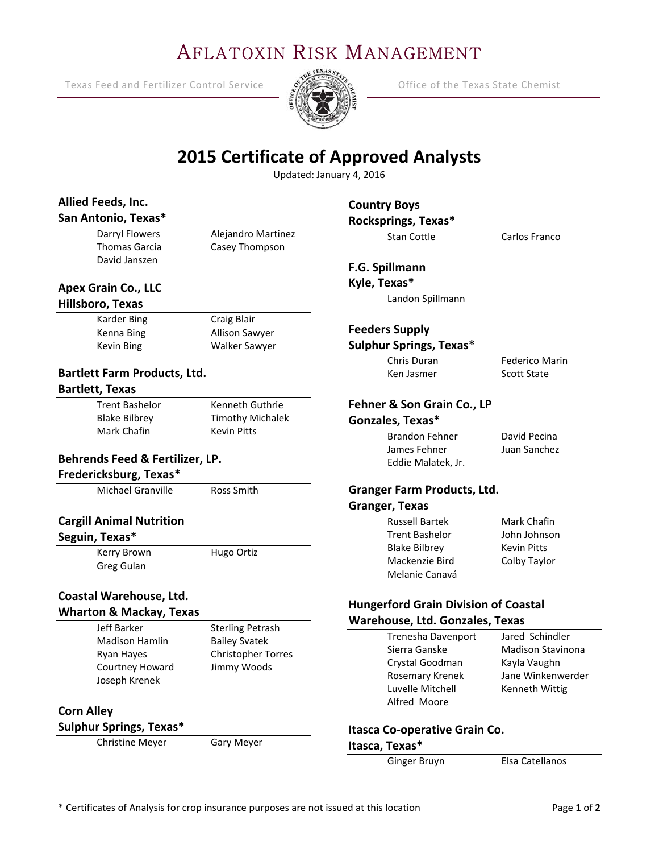# AFLATOXIN RISK MANAGEMENT

Texas Feed and Fertilizer Control Service  $\frac{1}{2}$   $\frac{1}{2}$  Office of the Texas State Chemist

Ξ



## **2015 Certificate of Approved Analysts**

Updated: January 4, 2016

| Allied Feeds, Inc.<br>San Antonio, Texas*                 |                                               | <b>Country Boys</b><br>Rocksprings, Texas* |                                             |  |
|-----------------------------------------------------------|-----------------------------------------------|--------------------------------------------|---------------------------------------------|--|
| Darryl Flowers<br>Thomas Garcia                           | Alejandro Martinez<br>Casey Thompson          | <b>Stan Cottle</b>                         | Carlos Franco                               |  |
| David Janszen                                             |                                               | F.G. Spillmann                             |                                             |  |
| <b>Apex Grain Co., LLC</b>                                |                                               | Kyle, Texas*                               |                                             |  |
| Hillsboro, Texas                                          |                                               | Landon Spillmann                           |                                             |  |
| <b>Karder Bing</b>                                        | Craig Blair                                   |                                            |                                             |  |
| Kenna Bing                                                | Allison Sawyer                                | <b>Feeders Supply</b>                      |                                             |  |
| Kevin Bing                                                | Walker Sawyer                                 | <b>Sulphur Springs, Texas*</b>             |                                             |  |
|                                                           |                                               | Chris Duran                                | <b>Federico Marin</b>                       |  |
| <b>Bartlett Farm Products, Ltd.</b>                       |                                               | Ken Jasmer                                 | <b>Scott State</b>                          |  |
| <b>Bartlett, Texas</b>                                    |                                               |                                            |                                             |  |
| <b>Trent Bashelor</b>                                     | Kenneth Guthrie                               | Fehner & Son Grain Co., LP                 |                                             |  |
| <b>Blake Bilbrey</b><br>Mark Chafin                       | <b>Timothy Michalek</b><br><b>Kevin Pitts</b> | Gonzales, Texas*                           |                                             |  |
|                                                           |                                               | <b>Brandon Fehner</b>                      | David Pecina                                |  |
|                                                           |                                               | James Fehner                               | Juan Sanchez                                |  |
| Behrends Feed & Fertilizer, LP.<br>Fredericksburg, Texas* |                                               | Eddie Malatek, Jr.                         |                                             |  |
| Michael Granville                                         | Ross Smith                                    | <b>Granger Farm Products, Ltd.</b>         |                                             |  |
|                                                           |                                               | <b>Granger, Texas</b>                      |                                             |  |
| <b>Cargill Animal Nutrition</b>                           |                                               | <b>Russell Bartek</b>                      | Mark Chafin                                 |  |
| Seguin, Texas*                                            |                                               | <b>Trent Bashelor</b>                      | John Johnson                                |  |
| Kerry Brown                                               | Hugo Ortiz                                    | <b>Blake Bilbrey</b>                       | <b>Kevin Pitts</b>                          |  |
| Greg Gulan                                                |                                               | Mackenzie Bird                             | Colby Taylor                                |  |
|                                                           |                                               | Melanie Canavá                             |                                             |  |
| Coastal Warehouse, Ltd.                                   |                                               |                                            |                                             |  |
| <b>Wharton &amp; Mackay, Texas</b>                        |                                               |                                            | <b>Hungerford Grain Division of Coastal</b> |  |
| Jeff Barker                                               | <b>Sterling Petrash</b>                       | Warehouse, Ltd. Gonzales, Texas            |                                             |  |
| <b>Madison Hamlin</b>                                     | <b>Bailey Svatek</b>                          | Trenesha Davenport                         | Jared Schindler                             |  |
| Ryan Hayes                                                | <b>Christopher Torres</b>                     | Sierra Ganske                              | <b>Madison Stavinona</b>                    |  |
| Courtney Howard                                           | Jimmy Woods                                   | Crystal Goodman                            | Kayla Vaughn                                |  |
| Joseph Krenek                                             |                                               | Rosemary Krenek<br>Luvelle Mitchell        | Jane Winkenwerder                           |  |
|                                                           |                                               | Alfred Moore                               | Kenneth Wittig                              |  |
| <b>Corn Alley</b>                                         |                                               |                                            |                                             |  |
| Sulphur Springs, Texas*                                   |                                               | Itasca Co-operative Grain Co.              |                                             |  |
| <b>Christine Meyer</b>                                    | Gary Meyer                                    | Itasca, Texas*                             |                                             |  |

Ginger Bruyn Elsa Catellanos